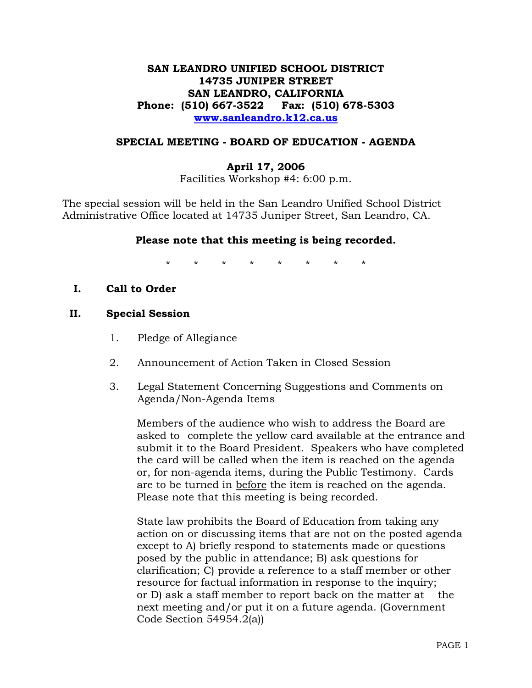# **SAN LEANDRO UNIFIED SCHOOL DISTRICT 14735 JUNIPER STREET SAN LEANDRO, CALIFORNIA Phone: (510) 667-3522 Fax: (510) 678-5303 www.sanleandro.k12.ca.us**

#### **SPECIAL MEETING - BOARD OF EDUCATION - AGENDA**

### **April 17, 2006**

Facilities Workshop #4: 6:00 p.m.

The special session will be held in the San Leandro Unified School District Administrative Office located at 14735 Juniper Street, San Leandro, CA.

### **Please note that this meeting is being recorded.**

\* \* \* \* \* \* \* \*

**I. Call to Order** 

#### **II. Special Session**

- 1. Pledge of Allegiance
- 2. Announcement of Action Taken in Closed Session
- 3. Legal Statement Concerning Suggestions and Comments on Agenda/Non-Agenda Items

 Members of the audience who wish to address the Board are asked to complete the yellow card available at the entrance and submit it to the Board President. Speakers who have completed the card will be called when the item is reached on the agenda or, for non-agenda items, during the Public Testimony. Cards are to be turned in before the item is reached on the agenda. Please note that this meeting is being recorded.

 State law prohibits the Board of Education from taking any action on or discussing items that are not on the posted agenda except to A) briefly respond to statements made or questions posed by the public in attendance; B) ask questions for clarification; C) provide a reference to a staff member or other resource for factual information in response to the inquiry; or D) ask a staff member to report back on the matter at the next meeting and/or put it on a future agenda. (Government Code Section 54954.2(a))